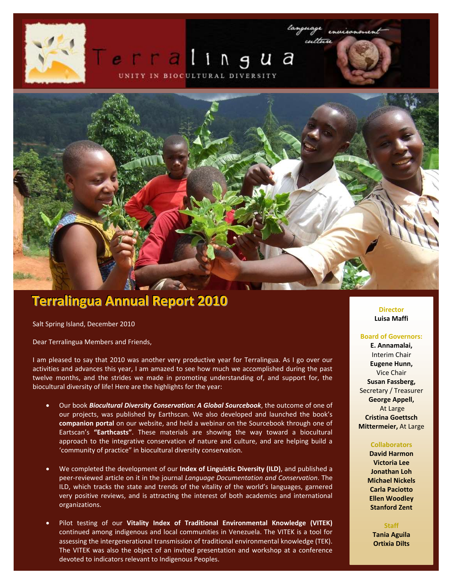## ngua UNITY IN BIOCULTURAL DIVERSITY



# **Terralingua Annual Report 2010**

Salt Spring Island, December 2010

Dear Terralingua Members and Friends,

I am pleased to say that 2010 was another very productive year for Terralingua. As I go over our activities and advances this year, I am amazed to see how much we accomplished during the past twelve months, and the strides we made in promoting understanding of, and support for, the biocultural diversity of life! Here are the highlights for the year:

- Our book *Biocultural Diversity Conservation: A Global Sourcebook*, the outcome of one of our projects, was published by Earthscan. We also developed and launched the book's **companion portal** on our website, and held a webinar on the Sourcebook through one of Eartscan's **"Earthcasts"**. These materials are showing the way toward a biocultural approach to the integrative conservation of nature and culture, and are helping build a 'community of practice" in biocultural diversity conservation.
- We completed the development of our **Index of Linguistic Diversity (ILD)**, and published a peer-reviewed article on it in the journal *Language Documentation and Conservation*. The ILD, which tracks the state and trends of the vitality of the world's languages, garnered very positive reviews, and is attracting the interest of both academics and international organizations.
- Pilot testing of our **Vitality Index of Traditional Environmental Knowledge (VITEK)** continued among indigenous and local communities in Venezuela. The VITEK is a tool for assessing the intergenerational transmission of traditional environmental knowledge (TEK). The VITEK was also the object of an invited presentation and workshop at a conference devoted to indicators relevant to Indigenous Peoples.

**Director Luisa Maffi**

#### **Board of Governors:**

**E. Annamalai,** Interim Chair **Eugene Hunn,** Vice Chair **Susan Fassberg,**  Secretary / Treasurer **George Appell,** At Large **Cristina Goettsch Mittermeier,** At Large

#### **Collaborators**

**David Harmon Victoria Lee Jonathan Loh Michael Nickels Carla Paciotto Ellen Woodley Stanford Zent**

**Staff Tania Aguila Ortixia Dilts**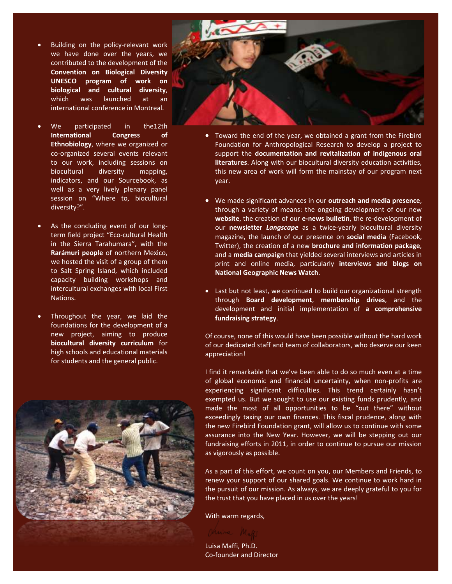- Building on the policy-relevant work we have done over the years, we contributed to the development of the **Convention on Biological Diversity UNESCO program of work on biological and cultural diversity**, which was launched at an international conference in Montreal.
- We participated in the12th **International Congress of Ethnobiology**, where we organized or co-organized several events relevant to our work, including sessions on biocultural diversity mapping, indicators, and our Sourcebook, as well as a very lively plenary panel session on "Where to, biocultural diversity?".
- As the concluding event of our longterm field project "Eco-cultural Health in the Sierra Tarahumara", with the **Rarámuri people** of northern Mexico, we hosted the visit of a group of them to Salt Spring Island, which included capacity building workshops and intercultural exchanges with local First Nations.
- Throughout the year, we laid the foundations for the development of a new project, aiming to produce **biocultural diversity curriculum** for high schools and educational materials for students and the general public.





- Toward the end of the year, we obtained a grant from the Firebird Foundation for Anthropological Research to develop a project to support the **documentation and revitalization of indigenous oral literatures**. Along with our biocultural diversity education activities, this new area of work will form the mainstay of our program next year.
- We made significant advances in our **outreach and media presence**, through a variety of means: the ongoing development of our new **website**, the creation of our **e-news bulletin**, the re-development of our **newsletter** *Langscape* as a twice-yearly biocultural diversity magazine, the launch of our presence on **social media** (Facebook, Twitter), the creation of a new **brochure and information package**, and a **media campaign** that yielded several interviews and articles in print and online media, particularly **interviews and blogs on National Geographic News Watch**.
- Last but not least, we continued to build our organizational strength through **Board development**, **membership drives**, and the development and initial implementation of **a comprehensive fundraising strategy**.

Of course, none of this would have been possible without the hard work of our dedicated staff and team of collaborators, who deserve our keen appreciation!

I find it remarkable that we've been able to do so much even at a time of global economic and financial uncertainty, when non-profits are experiencing significant difficulties. This trend certainly hasn't exempted us. But we sought to use our existing funds prudently, and made the most of all opportunities to be "out there" without exceedingly taxing our own finances. This fiscal prudence, along with the new Firebird Foundation grant, will allow us to continue with some assurance into the New Year. However, we will be stepping out our fundraising efforts in 2011, in order to continue to pursue our mission as vigorously as possible.

As a part of this effort, we count on you, our Members and Friends, to renew your support of our shared goals. We continue to work hard in the pursuit of our mission. As always, we are deeply grateful to you for the trust that you have placed in us over the years!

With warm regards,

Luisa Maffi, Ph.D. Co-founder and Director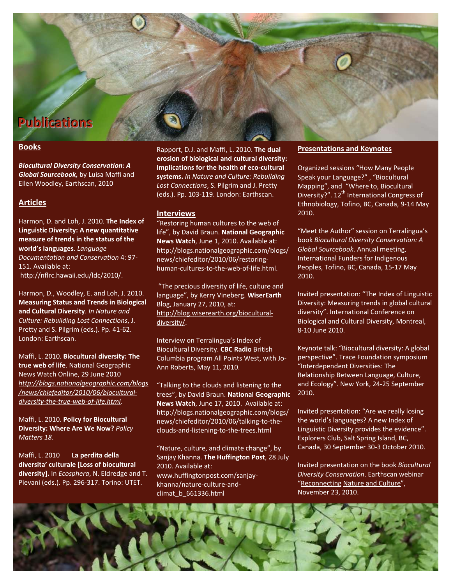# **Publications**

## **Books**

*Biocultural Diversity Conservation: A Global Sourcebook,* by Luisa Maffi and Ellen Woodley, Earthscan, 2010

## **Articles**

Harmon, D. and Loh, J. 2010. **The Index of Linguistic Diversity: A new quantitative measure of trends in the status of the world's languages**. *Language Documentation and Conservation* 4: 97- 151. Available at: [http://nflrc.hawaii.edu/ldc/2010/.](http://nflrc.hawaii.edu/ldc/2010/)

Harmon, D., Woodley, E. and Loh, J. 2010. **Measuring Status and Trends in Biological and Cultural Diversity**. *In Nature and Culture: Rebuilding Lost Connections*, J. Pretty and S. Pilgrim (eds.). Pp. 41-62. London: Earthscan.

Maffi, L. 2010. **Biocultural diversity: The true web of life**. National Geographic News Watch Online, 29 June 2010 *[http://blogs.nationalgeographic.com/blogs](http://blogs.nationalgeographic.com/blogs/news/chiefeditor/2010/06/biocultural-diversity-the-true-web-of-life.html) [/news/chiefeditor/2010/06/biocultural](http://blogs.nationalgeographic.com/blogs/news/chiefeditor/2010/06/biocultural-diversity-the-true-web-of-life.html)[diversity-the-true-web-of-life.html.](http://blogs.nationalgeographic.com/blogs/news/chiefeditor/2010/06/biocultural-diversity-the-true-web-of-life.html)*

Maffi, L. 2010. **Policy for Biocultural Diversity: Where Are We Now?** *Policy Matters 18*.

Maffi, L. 2010 **La perdita della diversita' culturale [Loss of biocultural diversity].** In *Ecosphera*, N. Eldredge and T. Pievani (eds.). Pp. 296-317. Torino: UTET.

Rapport, D.J. and Maffi, L. 2010. **The dual erosion of biological and cultural diversity: Implications for the health of eco-cultural systems.** *In Nature and Culture: Rebuilding Lost Connections*, S. Pilgrim and J. Pretty (eds.). Pp. 103-119. London: Earthscan.

#### **Interviews**

"Restoring human cultures to the web of life", by David Braun. **National Geographic News Watch**, June 1, 2010. Available at: http://blogs.nationalgeographic.com/blogs/ news/chiefeditor/2010/06/restoringhuman-cultures-to-the-web-of-life.html.

"The precious diversity of life, culture and language", by Kerry Vineberg. **WiserEarth** Blog, January 27, 2010, at: [http://blog.wiserearth.org/biocultural](http://blog.wiserearth.org/biocultural-diversity/)[diversity/.](http://blog.wiserearth.org/biocultural-diversity/)

Interview on Terralingua's Index of Biocultural Diversity. **CBC Radio** British Columbia program All Points West, with Jo-Ann Roberts, May 11, 2010.

"Talking to the clouds and listening to the trees", by David Braun. **National Geographic News Watch**, June 17, 2010. Available at: http://blogs.nationalgeographic.com/blogs/ news/chiefeditor/2010/06/talking-to-theclouds-and-listening-to-the-trees.html

"Nature, culture, and climate change", by Sanjay Khanna. **The Huffington Post**, 28 July 2010. Available at: www.huffingtonpost.com/sanjaykhanna/nature-culture-andclimat\_b\_661336.html

#### **Presentations and Keynotes**

Organized sessions "How Many People Speak your Language?" , "Biocultural Mapping", and "Where to, Biocultural Diversity?". 12<sup>th</sup> International Congress of Ethnobiology, Tofino, BC, Canada, 9-14 May 2010.

"Meet the Author" session on Terralingua's book *Biocultural Diversity Conservation: A Global Sourcebook*. Annual meeting, International Funders for Indigenous Peoples, Tofino, BC, Canada, 15-17 May 2010.

Invited presentation: "The Index of Linguistic Diversity: Measuring trends in global cultural diversity". International Conference on Biological and Cultural Diversity, Montreal, 8-10 June 2010.

Keynote talk: "Biocultural diversity: A global perspective". Trace Foundation symposium "Interdependent Diversities: The Relationship Between Language, Culture, and Ecology". New York, 24-25 September 2010.

Invited presentation: "Are we really losing the world's languages? A new Index of Linguistic Diversity provides the evidence". Explorers Club, Salt Spring Island, BC, Canada, 30 September 30-3 October 2010.

Invited presentation on the book *Biocultural Diversity Conservation*. Earthscan webinar "[Reconnecting](http://e2ma.net/go/6857266988/208377275/216350775/1405789/goto:http:/www.earthscan.co.uk/Earthcasts/tabid/101760/Default.aspx) [Nature and Culture](http://e2ma.net/go/6857266988/208377275/216350775/1405789/goto:http:/www.earthscan.co.uk/Earthcasts/tabid/101760/Default.aspx)", November 23, 2010.